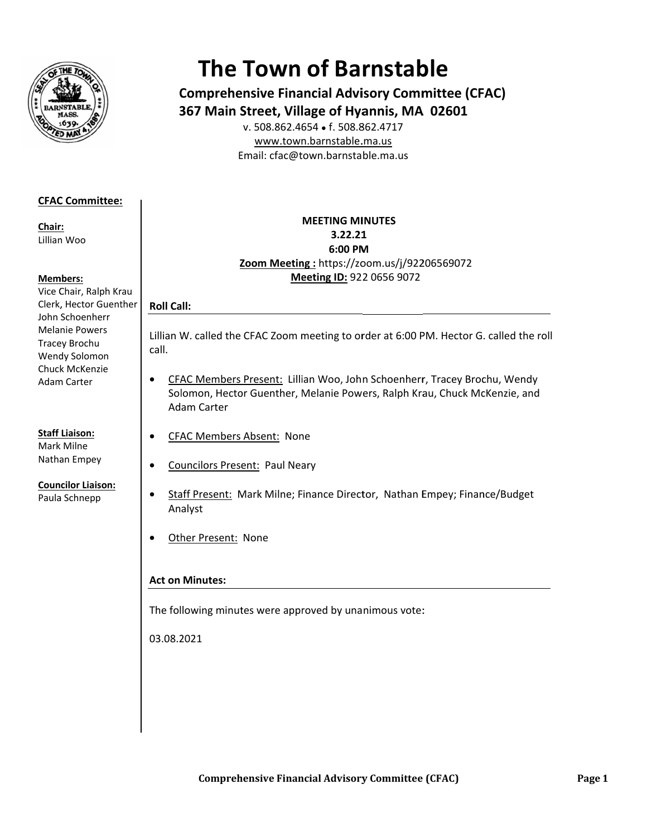

# **The Town of Barnstable**

**Comprehensive Financial Advisory Committee (CFAC)** 367 Main Street, Village of Hyannis, MA 02601

v. 508.862.4654 • f. 508.862.4717 www.town.barnstable.ma.us Email: cfac@town.barnstable.ma.us

# **CFAC Committee:**

Chair: Lillian Woo

#### **Members:**

Vice Chair, Ralph Krau Clerk, Hector Guenther John Schoenherr **Melanie Powers** Tracey Brochu Wendy Solomon Chuck McKenzie **Adam Carter** 

# **Staff Liaison:**

Mark Milne Nathan Empey

**Councilor Liaison:** 

Paula Schnepp

### **MEETING MINUTES** 3.22.21 6:00 PM Zoom Meeting: https://zoom.us/j/92206569072 Meeting ID: 922 0656 9072

# **Roll Call:**

 $\bullet$ 

Lillian W. called the CFAC Zoom meeting to order at 6:00 PM. Hector G. called the roll call.

- CFAC Members Present: Lillian Woo, John Schoenherr, Tracey Brochu, Wendy  $\bullet$ Solomon, Hector Guenther, Melanie Powers, Ralph Krau, Chuck McKenzie, and Adam Carter
- **CFAC Members Absent: None**  $\bullet$ 
	- **Councilors Present: Paul Neary**
- Staff Present: Mark Milne; Finance Director, Nathan Empey; Finance/Budget  $\bullet$ Analyst
- $\bullet$ Other Present: None

## **Act on Minutes:**

The following minutes were approved by unanimous vote:

03.08.2021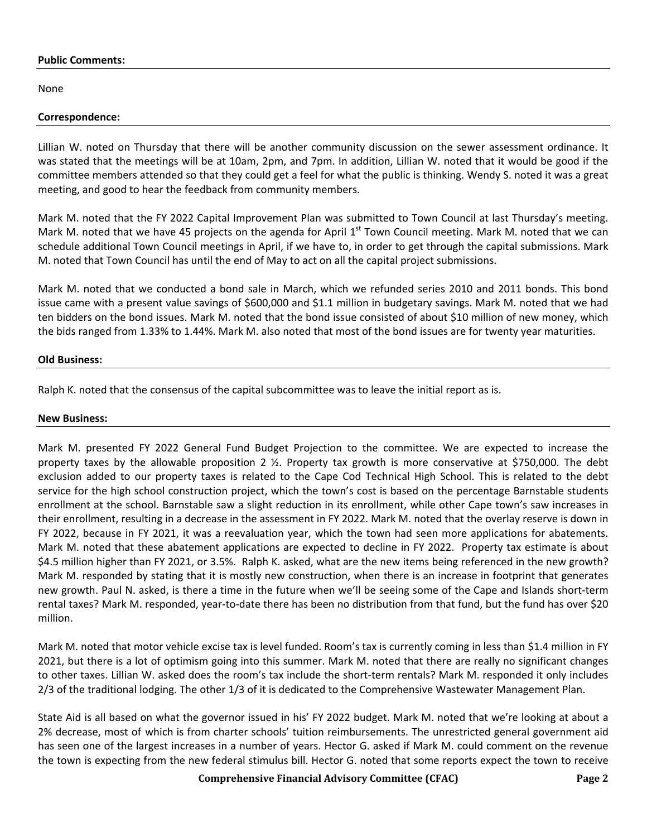#### **Public Comments:**

None

#### **Correspondence:**

Lillian W. noted on Thursday that there will be another community discussion on the sewer assessment ordinance. It was stated that the meetings will be at 10am, 2pm, and 7pm. In addition, Lillian W. noted that it would be good if the committee members attended so that they could get a feel for what the public is thinking. Wendy S. noted it was a great meeting, and good to hear the feedback from community members.

Mark M. noted that the FY 2022 Capital Improvement Plan was submitted to Town Council at last Thursday's meeting. Mark M. noted that we have 45 projects on the agenda for April  $1<sup>st</sup>$  Town Council meeting. Mark M. noted that we can schedule additional Town Council meetings in April, if we have to, in order to get through the capital submissions. Mark M. noted that Town Council has until the end of May to act on all the capital project submissions.

Mark M. noted that we conducted a bond sale in March, which we refunded series 2010 and 2011 bonds. This bond issue came with a present value savings of \$600,000 and \$1.1 million in budgetary savings. Mark M. noted that we had ten bidders on the bond issues. Mark M. noted that the bond issue consisted of about \$10 million of new money, which the bids ranged from 1.33% to 1.44%. Mark M. also noted that most of the bond issues are for twenty year maturities.

#### **Old Business:**

Ralph K. noted that the consensus of the capital subcommittee was to leave the initial report as is.

#### **New Business:**

Mark M. presented FY 2022 General Fund Budget Projection to the committee. We are expected to increase the property taxes by the allowable proposition 2 ½. Property tax growth is more conservative at \$750,000. The debt exclusion added to our property taxes is related to the Cape Cod Technical High School. This is related to the debt service for the high school construction project, which the town's cost is based on the percentage Barnstable students enrollment at the school. Barnstable saw a slight reduction in its enrollment, while other Cape town's saw increases in their enrollment, resulting in a decrease in the assessment in FY 2022. Mark M. noted that the overlay reserve is down in FY 2022, because in FY 2021, it was a reevaluation year, which the town had seen more applications for abatements. Mark M. noted that these abatement applications are expected to decline in FY 2022. Property tax estimate is about \$4.5 million higher than FY 2021, or 3.5%. Ralph K. asked, what are the new items being referenced in the new growth? Mark M. responded by stating that it is mostly new construction, when there is an increase in footprint that generates new growth. Paul N. asked, is there a time in the future when we'll be seeing some of the Cape and Islands short-term rental taxes? Mark M. responded, year-to-date there has been no distribution from that fund, but the fund has over \$20 million.

Mark M. noted that motor vehicle excise tax is level funded. Room's tax is currently coming in less than \$1.4 million in FY 2021, but there is a lot of optimism going into this summer. Mark M. noted that there are really no significant changes to other taxes. Lillian W. asked does the room's tax include the short-term rentals? Mark M. responded it only includes 2/3 of the traditional lodging. The other 1/3 of it is dedicated to the Comprehensive Wastewater Management Plan.

State Aid is all based on what the governor issued in his' FY 2022 budget. Mark M. noted that we're looking at about a 2% decrease, most of which is from charter schools' tuition reimbursements. The unrestricted general government aid has seen one of the largest increases in a number of years. Hector G. asked if Mark M. could comment on the revenue the town is expecting from the new federal stimulus bill. Hector G. noted that some reports expect the town to receive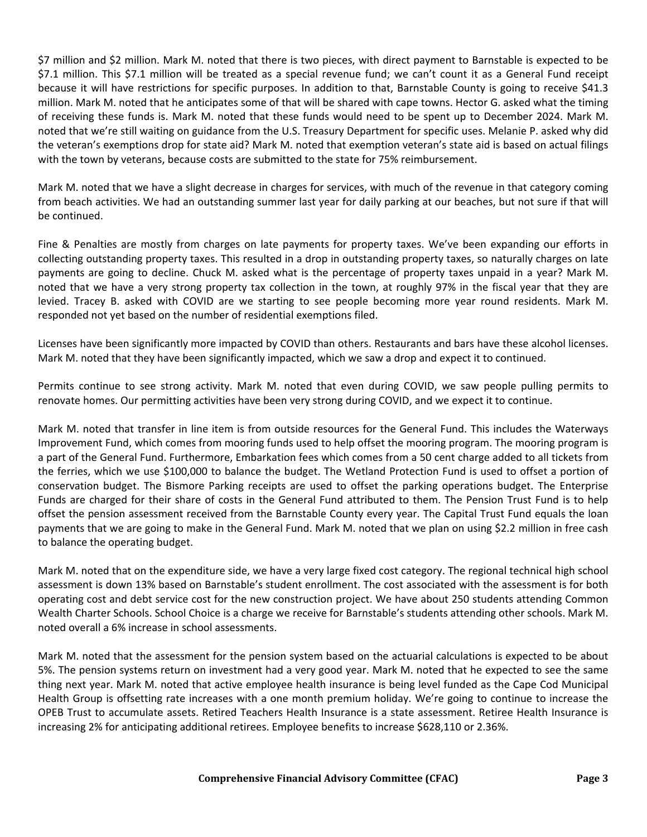\$7 million and \$2 million. Mark M. noted that there is two pieces, with direct payment to Barnstable is expected to be \$7.1 million. This \$7.1 million will be treated as a special revenue fund; we can't count it as a General Fund receipt because it will have restrictions for specific purposes. In addition to that, Barnstable County is going to receive \$41.3 million. Mark M. noted that he anticipates some of that will be shared with cape towns. Hector G. asked what the timing of receiving these funds is. Mark M. noted that these funds would need to be spent up to December 2024. Mark M. noted that we're still waiting on guidance from the U.S. Treasury Department for specific uses. Melanie P. asked why did the veteran's exemptions drop for state aid? Mark M. noted that exemption veteran's state aid is based on actual filings with the town by veterans, because costs are submitted to the state for 75% reimbursement.

Mark M. noted that we have a slight decrease in charges for services, with much of the revenue in that category coming from beach activities. We had an outstanding summer last year for daily parking at our beaches, but not sure if that will be continued.

Fine & Penalties are mostly from charges on late payments for property taxes. We've been expanding our efforts in collecting outstanding property taxes. This resulted in a drop in outstanding property taxes, so naturally charges on late payments are going to decline. Chuck M. asked what is the percentage of property taxes unpaid in a year? Mark M. noted that we have a very strong property tax collection in the town, at roughly 97% in the fiscal year that they are levied. Tracey B. asked with COVID are we starting to see people becoming more year round residents. Mark M. responded not yet based on the number of residential exemptions filed.

Licenses have been significantly more impacted by COVID than others. Restaurants and bars have these alcohol licenses. Mark M. noted that they have been significantly impacted, which we saw a drop and expect it to continued.

Permits continue to see strong activity. Mark M. noted that even during COVID, we saw people pulling permits to renovate homes. Our permitting activities have been very strong during COVID, and we expect it to continue.

Mark M. noted that transfer in line item is from outside resources for the General Fund. This includes the Waterways Improvement Fund, which comes from mooring funds used to help offset the mooring program. The mooring program is a part of the General Fund. Furthermore, Embarkation fees which comes from a 50 cent charge added to all tickets from the ferries, which we use \$100,000 to balance the budget. The Wetland Protection Fund is used to offset a portion of conservation budget. The Bismore Parking receipts are used to offset the parking operations budget. The Enterprise Funds are charged for their share of costs in the General Fund attributed to them. The Pension Trust Fund is to help offset the pension assessment received from the Barnstable County every year. The Capital Trust Fund equals the loan payments that we are going to make in the General Fund. Mark M. noted that we plan on using \$2.2 million in free cash to balance the operating budget.

Mark M. noted that on the expenditure side, we have a very large fixed cost category. The regional technical high school assessment is down 13% based on Barnstable's student enrollment. The cost associated with the assessment is for both operating cost and debt service cost for the new construction project. We have about 250 students attending Common Wealth Charter Schools. School Choice is a charge we receive for Barnstable's students attending other schools. Mark M. noted overall a 6% increase in school assessments.

Mark M. noted that the assessment for the pension system based on the actuarial calculations is expected to be about 5%. The pension systems return on investment had a very good year. Mark M. noted that he expected to see the same thing next year. Mark M. noted that active employee health insurance is being level funded as the Cape Cod Municipal Health Group is offsetting rate increases with a one month premium holiday. We're going to continue to increase the OPEB Trust to accumulate assets. Retired Teachers Health Insurance is a state assessment. Retiree Health Insurance is increasing 2% for anticipating additional retirees. Employee benefits to increase \$628,110 or 2.36%.